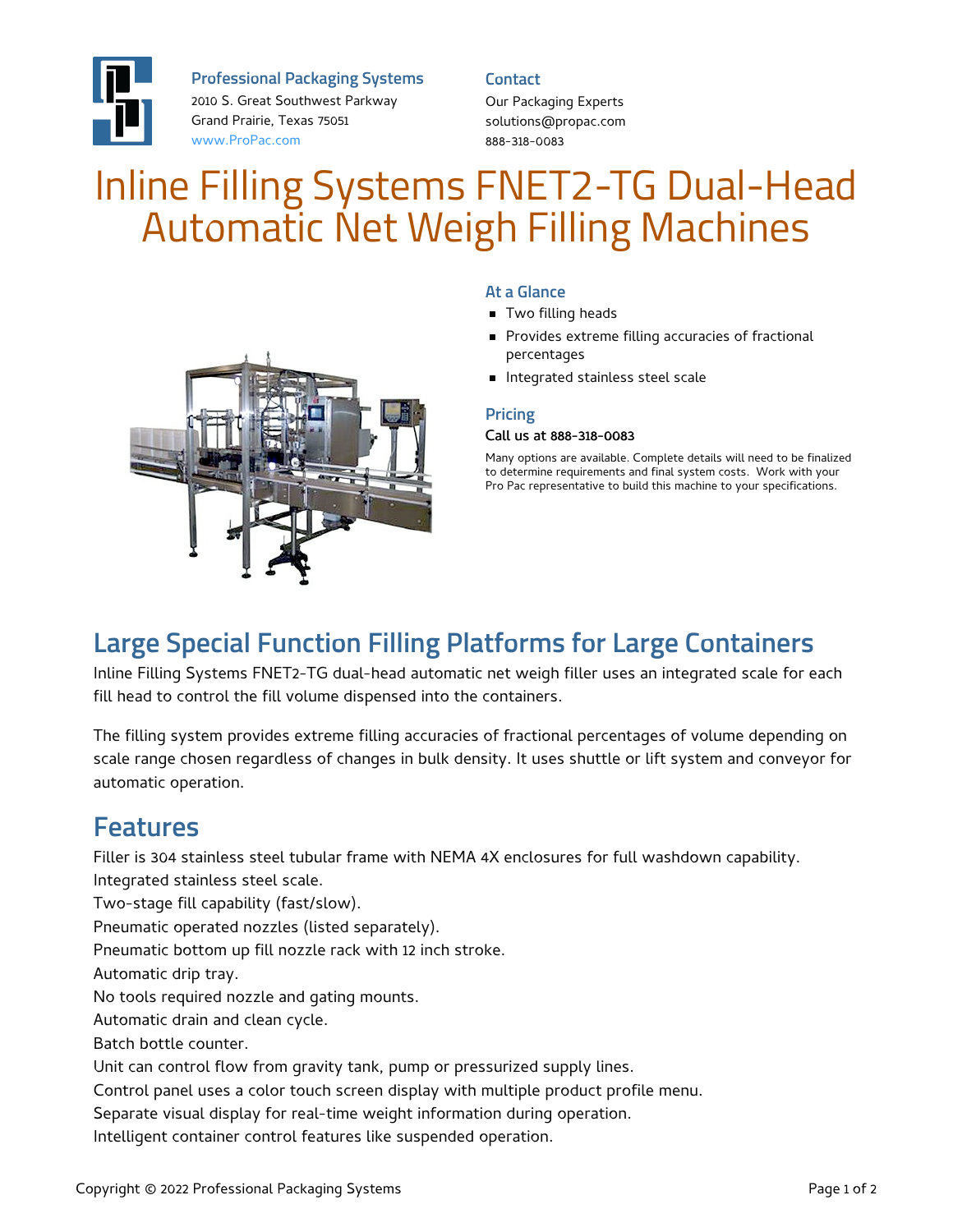

**Professional Packaging Systems**

2010 S. Great Southwest Parkway Grand Prairie, Texas 75051 [www.ProPac.com](https://www.propac.com/)

**Contact**

Our Packaging Experts solutions@propac.com 888-318-0083

# Inline Filling Systems FNET2-TG Dual-Head Automatic Net Weigh Filling Machines



#### **At a Glance**

- **Two filling heads**
- **Provides extreme filling accuracies of fractional** percentages
- Integrated stainless steel scale

#### **Pricing**

#### Call us at 888-318-0083

Many options are available. Complete details will need to be finalized to determine requirements and final system costs. Work with your Pro Pac representative to build this machine to your specifications.

## **Large Special Function Filling Platforms for Large Containers**

Inline Filling Systems FNET2-TG dual-head automatic net weigh filler uses an integrated scale for each fill head to control the fill volume dispensed into the containers.

The filling system provides extreme filling accuracies of fractional percentages of volume depending on scale range chosen regardless of changes in bulk density. It uses shuttle or lift system and conveyor for automatic operation.

### **Features**

Filler is 304 stainless steel tubular frame with NEMA 4X enclosures for full washdown capability. Integrated stainless steel scale.

Two-stage fill capability (fast/slow).

Pneumatic operated nozzles (listed separately).

Pneumatic bottom up fill nozzle rack with 12 inch stroke.

Automatic drip tray.

No tools required nozzle and gating mounts.

Automatic drain and clean cycle.

Batch bottle counter.

Unit can control flow from gravity tank, pump or pressurized supply lines.

Control panel uses a color touch screen display with multiple product profile menu.

Separate visual display for real-time weight information during operation.

Intelligent container control features like suspended operation.